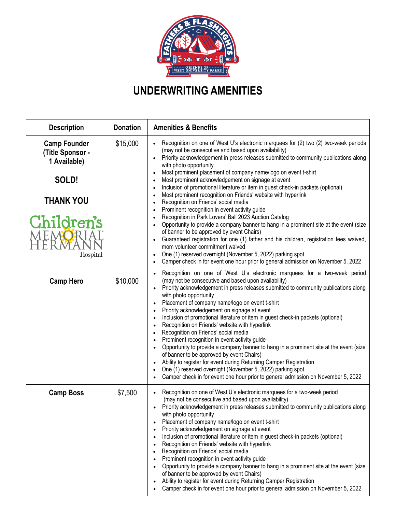

## **UNDERWRITING AMENITIES**

| <b>Description</b>                                      | <b>Donation</b> | <b>Amenities &amp; Benefits</b>                                                                                                                                                                                                                                                                                                                                                                                                                                                                                                                                                                                                                                                                                                                                                                                                                                                                                                                      |
|---------------------------------------------------------|-----------------|------------------------------------------------------------------------------------------------------------------------------------------------------------------------------------------------------------------------------------------------------------------------------------------------------------------------------------------------------------------------------------------------------------------------------------------------------------------------------------------------------------------------------------------------------------------------------------------------------------------------------------------------------------------------------------------------------------------------------------------------------------------------------------------------------------------------------------------------------------------------------------------------------------------------------------------------------|
| <b>Camp Founder</b><br>(Title Sponsor -<br>1 Available) | \$15,000        | Recognition on one of West U's electronic marquees for (2) two (2) two-week periods<br>(may not be consecutive and based upon availability)<br>Priority acknowledgement in press releases submitted to community publications along<br>with photo opportunity                                                                                                                                                                                                                                                                                                                                                                                                                                                                                                                                                                                                                                                                                        |
| SOLD!                                                   |                 | Most prominent placement of company name/logo on event t-shirt<br>Most prominent acknowledgement on signage at event<br>Inclusion of promotional literature or item in guest check-in packets (optional)                                                                                                                                                                                                                                                                                                                                                                                                                                                                                                                                                                                                                                                                                                                                             |
| <b>THANK YOU</b>                                        |                 | Most prominent recognition on Friends' website with hyperlink<br>$\bullet$<br>Recognition on Friends' social media<br>$\bullet$<br>Prominent recognition in event activity guide                                                                                                                                                                                                                                                                                                                                                                                                                                                                                                                                                                                                                                                                                                                                                                     |
| Children's<br>Hospital                                  |                 | Recognition in Park Lovers' Ball 2023 Auction Catalog<br>$\bullet$<br>Opportunity to provide a company banner to hang in a prominent site at the event (size<br>$\bullet$<br>of banner to be approved by event Chairs)<br>Guaranteed registration for one (1) father and his children, registration fees waived,<br>$\bullet$<br>mom volunteer commitment waived<br>One (1) reserved overnight (November 5, 2022) parking spot<br>Camper check in for event one hour prior to general admission on November 5, 2022                                                                                                                                                                                                                                                                                                                                                                                                                                  |
| <b>Camp Hero</b>                                        | \$10,000        | Recognition on one of West U's electronic marquees for a two-week period<br>(may not be consecutive and based upon availability)<br>Priority acknowledgement in press releases submitted to community publications along<br>with photo opportunity<br>Placement of company name/logo on event t-shirt<br>Priority acknowledgement on signage at event<br>Inclusion of promotional literature or item in guest check-in packets (optional)<br>Recognition on Friends' website with hyperlink<br>Recognition on Friends' social media<br>Prominent recognition in event activity guide<br>Opportunity to provide a company banner to hang in a prominent site at the event (size<br>of banner to be approved by event Chairs)<br>Ability to register for event during Returning Camper Registration<br>One (1) reserved overnight (November 5, 2022) parking spot<br>Camper check in for event one hour prior to general admission on November 5, 2022 |
| <b>Camp Boss</b>                                        | \$7,500         | Recognition on one of West U's electronic marquees for a two-week period<br>(may not be consecutive and based upon availability)<br>Priority acknowledgement in press releases submitted to community publications along<br>with photo opportunity<br>Placement of company name/logo on event t-shirt<br>Priority acknowledgement on signage at event<br>Inclusion of promotional literature or item in guest check-in packets (optional)<br>Recognition on Friends' website with hyperlink<br>Recognition on Friends' social media<br>Prominent recognition in event activity guide<br>Opportunity to provide a company banner to hang in a prominent site at the event (size<br>٠<br>of banner to be approved by event Chairs)<br>Ability to register for event during Returning Camper Registration<br>Camper check in for event one hour prior to general admission on November 5, 2022                                                          |